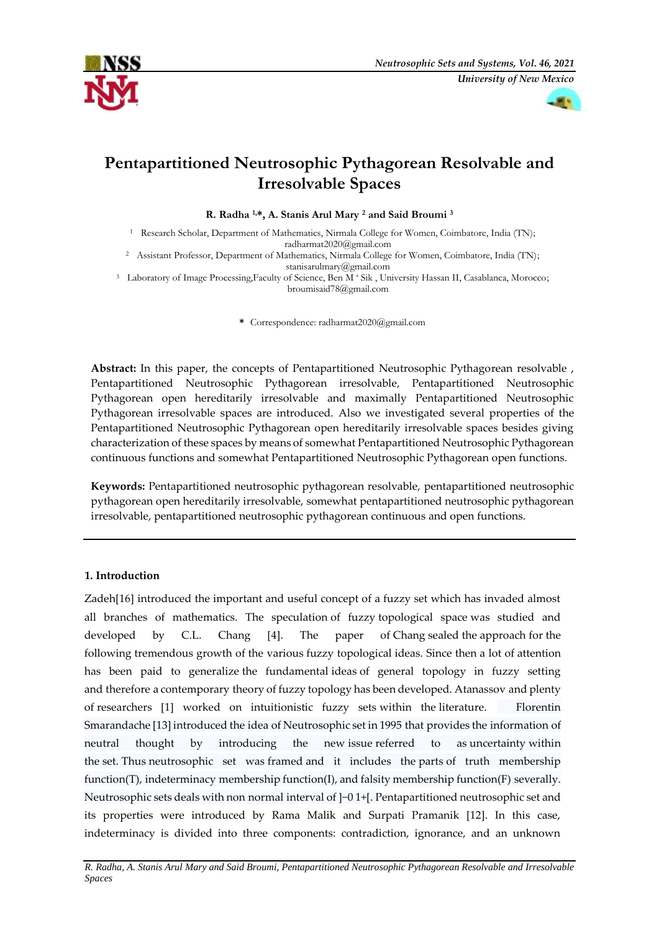



# **Pentapartitioned Neutrosophic Pythagorean Resolvable and Irresolvable Spaces**

**R. Radha 1,\*, A. Stanis Arul Mary <sup>2</sup> and Said Broumi <sup>3</sup>**

<sup>1</sup> Research Scholar, Department of Mathematics, Nirmala College for Women, Coimbatore, India (TN); radharmat2020@gmail.com

<sup>2</sup> Assistant Professor, Department of Mathematics, Nirmala College for Women, Coimbatore, India (TN); [stanisarulmary@gmail.com](mailto:stanisarulmary@gmail.com)

<sup>3</sup> Laboratory of Image Processing,Faculty of Science, Ben M ' Sik , University Hassan II, Casablanca, Morocco; broumisaid78@gmail.com

**\*** Correspondence: radharmat2020@gmail.com

**Abstract:** In this paper, the concepts of Pentapartitioned Neutrosophic Pythagorean resolvable , Pentapartitioned Neutrosophic Pythagorean irresolvable, Pentapartitioned Neutrosophic Pythagorean open hereditarily irresolvable and maximally Pentapartitioned Neutrosophic Pythagorean irresolvable spaces are introduced. Also we investigated several properties of the Pentapartitioned Neutrosophic Pythagorean open hereditarily irresolvable spaces besides giving characterization of these spaces by means of somewhat Pentapartitioned Neutrosophic Pythagorean continuous functions and somewhat Pentapartitioned Neutrosophic Pythagorean open functions.

**Keywords:** Pentapartitioned neutrosophic pythagorean resolvable, pentapartitioned neutrosophic pythagorean open hereditarily irresolvable, somewhat pentapartitioned neutrosophic pythagorean irresolvable, pentapartitioned neutrosophic pythagorean continuous and open functions.

# **1. Introduction**

Zadeh[16] introduced the important and useful concept of a fuzzy set which has invaded almost all branches of mathematics. The speculation of fuzzy topological space was studied and developed by C.L. Chang [4]. The paper of Chang sealed the approach for the following tremendous growth of the various fuzzy topological ideas. Since then a lot of attention has been paid to generalize the fundamental ideas of general topology in fuzzy setting and therefore a contemporary theory of fuzzy topology has been developed. Atanassov and plenty of researchers [1] worked on intuitionistic fuzzy sets within the literature. Florentin Smarandache [13] introduced the idea of Neutrosophic set in 1995 that provides the information of neutral thought by introducing the new issue referred to as uncertainty within the set. Thus neutrosophic set was framed and it includes the parts of truth membership function(T), indeterminacy membership function(I), and falsity membership function(F) severally. Neutrosophic sets deals with non normal interval of ]−0 1+[. Pentapartitioned neutrosophic set and its properties were introduced by Rama Malik and Surpati Pramanik [12]. In this case, indeterminacy is divided into three components: contradiction, ignorance, and an unknown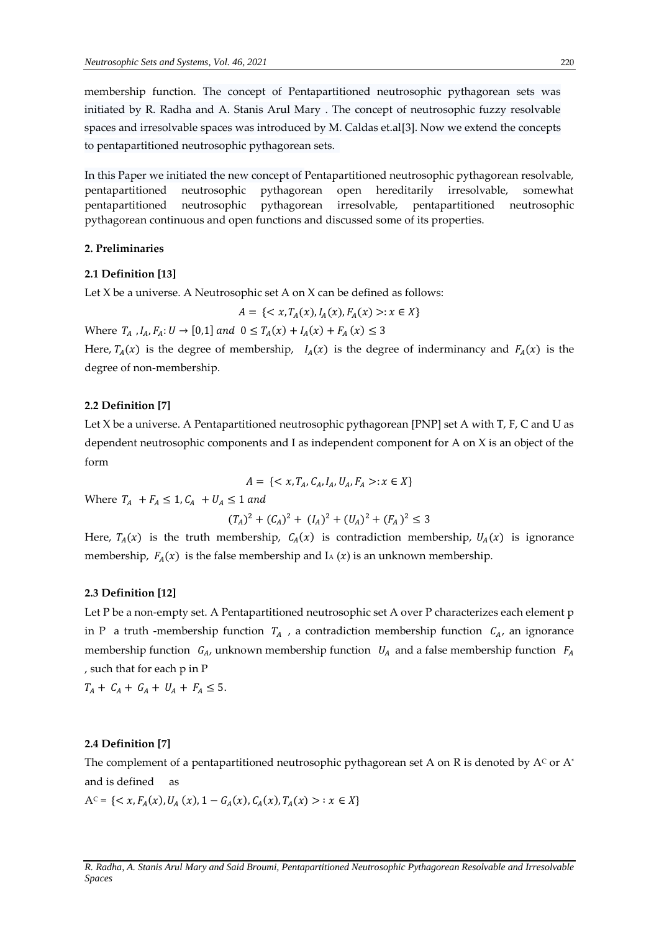membership function. The concept of Pentapartitioned neutrosophic pythagorean sets was initiated by R. Radha and A. Stanis Arul Mary . The concept of neutrosophic fuzzy resolvable spaces and irresolvable spaces was introduced by M. Caldas et.al[3]. Now we extend the concepts to pentapartitioned neutrosophic pythagorean sets.

In this Paper we initiated the new concept of Pentapartitioned neutrosophic pythagorean resolvable, pentapartitioned neutrosophic pythagorean open hereditarily irresolvable, somewhat pentapartitioned neutrosophic pythagorean irresolvable, pentapartitioned neutrosophic pythagorean continuous and open functions and discussed some of its properties.

## **2. Preliminaries**

## **2.1 Definition [13]**

Let X be a universe. A Neutrosophic set A on X can be defined as follows:

$$
A = \{ \langle x, T_A(x), I_A(x), F_A(x) \rangle : x \in X \}
$$

Where 
$$
T_A
$$
,  $I_A$ ,  $F_A$ :  $U \to [0,1]$  and  $0 \le T_A(x) + I_A(x) + F_A(x) \le 3$ 

Here,  $T_A(x)$  is the degree of membership,  $I_A(x)$  is the degree of inderminancy and  $F_A(x)$  is the degree of non-membership.

## **2.2 Definition [7]**

Let X be a universe. A Pentapartitioned neutrosophic pythagorean [PNP] set A with T, F, C and U as dependent neutrosophic components and I as independent component for A on X is an object of the form

$$
A = \{ \langle x, T_A, C_A, I_A, U_A, F_A \rangle : x \in X \}
$$

Where  $T_A$  +  $F_A \leq 1$ ,  $C_A$  +  $U_A \leq 1$  and

$$
(T_A)^2 + (C_A)^2 + (I_A)^2 + (U_A)^2 + (F_A)^2 \le 3
$$

Here,  $T_A(x)$  is the truth membership,  $C_A(x)$  is contradiction membership,  $U_A(x)$  is ignorance membership,  $F_A(x)$  is the false membership and I<sub>A</sub> (x) is an unknown membership.

# **2.3 Definition [12]**

Let P be a non-empty set. A Pentapartitioned neutrosophic set A over P characterizes each element p in P a truth -membership function  $T_A$ , a contradiction membership function  $C_A$ , an ignorance membership function  $G_A$ , unknown membership function  $U_A$  and a false membership function  $F_A$ , such that for each p in P

 $T_A + C_A + G_A + U_A + F_A \leq 5.$ 

### **2.4 Definition [7]**

The complement of a pentapartitioned neutrosophic pythagorean set A on R is denoted by  $A<sup>c</sup>$  or  $A<sup>*</sup>$ and is defined as

 $A^c = \{ \langle x, F_A(x), U_A(x), 1 - G_A(x), C_A(x), T_A(x) \rangle : x \in X \}$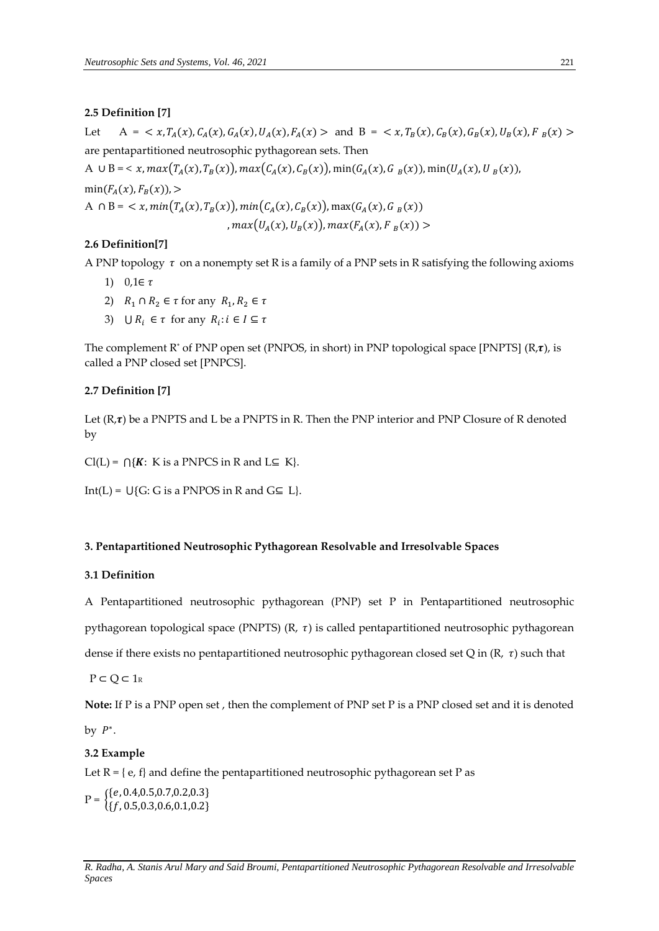## **2.5 Definition [7]**

Let  $A = \langle x, T_A(x), C_A(x), G_A(x), U_A(x), F_A(x) \rangle$  and  $B = \langle x, T_B(x), C_B(x), G_B(x), U_B(x), F_B(x) \rangle$ are pentapartitioned neutrosophic pythagorean sets. Then A  $\cup$  B = < x, max $(T_A(x), T_B(x))$ , max $(C_A(x), C_B(x))$ , min $(G_A(x), G_B(x))$ , min $(U_A(x), U_B(x))$ ,  $min(F_{A}(x), F_{B}(x))$ , > A  $\cap$  B =  $\langle x, min(T_A(x), T_B(x)), min(C_A(x), C_B(x)), max(G_A(x), G_B(x)) \rangle$ 

,  $max(U_A(x), U_B(x))$ ,  $max(F_A(x), F_B(x))$  >

# **2.6 Definition[7]**

A PNP topology  $\tau$  on a nonempty set R is a family of a PNP sets in R satisfying the following axioms

- 1)  $0,1 \in \tau$
- 2)  $R_1 \cap R_2 \in \tau$  for any  $R_1, R_2 \in \tau$
- 3)  $\bigcup R_i \in \tau$  for any  $R_i : i \in I \subseteq \tau$

The complement R<sup>\*</sup> of PNP open set (PNPOS, in short) in PNP topological space [PNPTS] ( $R$ , $\tau$ ), is called a PNP closed set [PNPCS].

#### **2.7 Definition [7]**

Let  $(R,\tau)$  be a PNPTS and L be a PNPTS in R. Then the PNP interior and PNP Closure of R denoted by

 $Cl(L) = \bigcap \{K: K \text{ is a PNPCS in R and } L \subseteq K\}.$ 

Int(L) =  $\bigcup$ {G: G is a PNPOS in R and G⊆ L}.

## **3. Pentapartitioned Neutrosophic Pythagorean Resolvable and Irresolvable Spaces**

# **3.1 Definition**

A Pentapartitioned neutrosophic pythagorean (PNP) set P in Pentapartitioned neutrosophic pythagorean topological space (PNPTS)  $(R, \tau)$  is called pentapartitioned neutrosophic pythagorean

dense if there exists no pentapartitioned neutrosophic pythagorean closed set Q in  $(R, \tau)$  such that

 $P \subset Q \subset 1_R$ 

**Note:** If P is a PNP open set , then the complement of PNP set P is a PNP closed set and it is denoted

by  $P^*$ .

# **3.2 Example**

Let  $R = \{ e, f \}$  and define the pentapartitioned neutrosophic pythagorean set P as

 $P = \begin{cases} \{e, 0.4, 0.5, 0.7, 0.2, 0.3\} \\ \{f, 0.5, 0.3, 0.6, 0.1, 0.2\} \end{cases}$  $\{f, 0.5, 0.3, 0.6, 0.1, 0.2\}$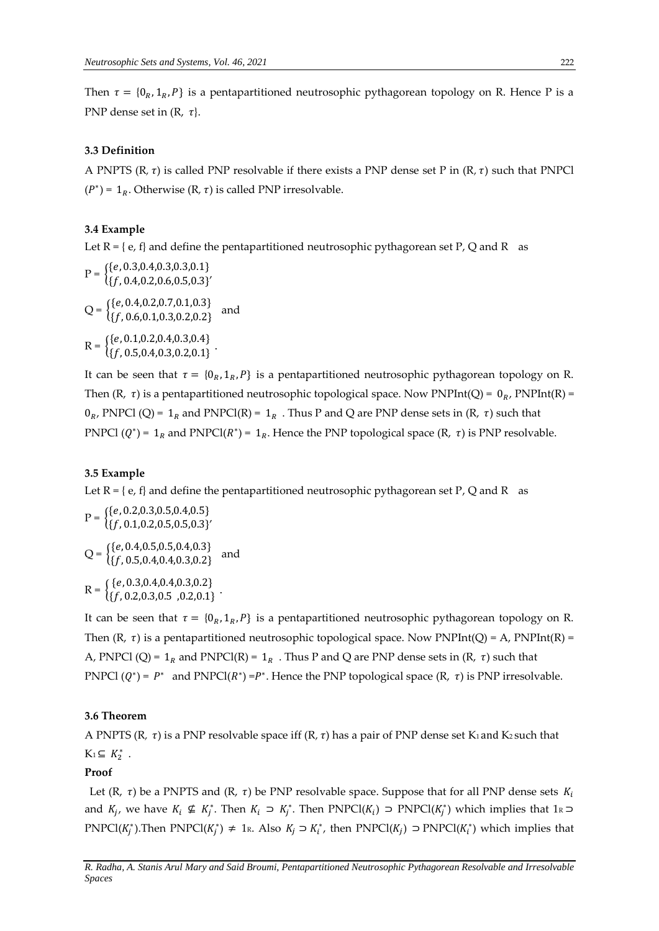Then  $\tau = \{0_R, 1_R, P\}$  is a pentapartitioned neutrosophic pythagorean topology on R. Hence P is a PNP dense set in  $(R, \tau)$ .

## **3.3 Definition**

A PNPTS  $(R, \tau)$  is called PNP resolvable if there exists a PNP dense set P in  $(R, \tau)$  such that PNPCl  $(P^*)$  = 1<sub>R</sub>. Otherwise (R,  $\tau$ ) is called PNP irresolvable.

## **3.4 Example**

Let  $R = \{ e, f \}$  and define the pentapartitioned neutrosophic pythagorean set P, Q and R as

 $P = \begin{cases} \{e, 0.3, 0.4, 0.3, 0.3, 0.1\} \\ \{f, 0.4, 0.2, 0.6, 0.5, 0.3\} \end{cases}$  $\{f, 0.4, 0.2, 0.6, 0.5, 0.3\}'$  $Q = \begin{cases} \{e, 0.4, 0.2, 0.7, 0.1, 0.3\} \\ \{f, 0.6, 0.1, 0.3, 0.2, 0.2\} \end{cases}$  $\{f, 0.6, 0.1, 0.3, 0.2, 0.2\}$  and  $R = \begin{cases} \{e, 0.1, 0.2, 0.4, 0.3, 0.4\} \\ \{f, 0.5, 0.4, 0.3, 0.3, 0.4\} \end{cases}$  $\{f, 0.5, 0.4, 0.3, 0.2, 0.1\}$ .

It can be seen that  $\tau = \{0_R, 1_R, P\}$  is a pentapartitioned neutrosophic pythagorean topology on R. Then  $(R, \tau)$  is a pentapartitioned neutrosophic topological space. Now PNPInt(Q) =  $0_R$ , PNPInt(R) =  $0_R$ , PNPCl (Q) = 1<sub>R</sub> and PNPCl(R) = 1<sub>R</sub>. Thus P and Q are PNP dense sets in (R,  $\tau$ ) such that PNPCl  $(Q^*)$  = 1<sub>R</sub> and PNPCl( $R^*$ ) = 1<sub>R</sub>. Hence the PNP topological space (R,  $\tau$ ) is PNP resolvable.

## **3.5 Example**

Let  $R = \{ e, f \}$  and define the pentapartitioned neutrosophic pythagorean set P, Q and R as

$$
P = \begin{cases} \{e, 0.2, 0.3, 0.5, 0.4, 0.5\} \\ \{f, 0.1, 0.2, 0.5, 0.5, 0.3\}' \end{cases}
$$
  
\n
$$
Q = \begin{cases} \{e, 0.4, 0.5, 0.5, 0.4, 0.3\} \\ \{f, 0.5, 0.4, 0.4, 0.3, 0.2\} \end{cases}
$$
 and  
\n
$$
R = \begin{cases} \{e, 0.3, 0.4, 0.4, 0.3, 0.2\} \\ \{f, 0.2, 0.3, 0.5, 0.2, 0.1\} \end{cases}
$$
.

It can be seen that  $\tau = \{0_R, 1_R, P\}$  is a pentapartitioned neutrosophic pythagorean topology on R. Then  $(R, \tau)$  is a pentapartitioned neutrosophic topological space. Now PNPInt(Q) = A, PNPInt(R) = A, PNPCl (Q) =  $1_R$  and PNPCl(R) =  $1_R$ . Thus P and Q are PNP dense sets in (R,  $\tau$ ) such that PNPCl  $(Q^*) = P^*$  and PNPCl $(R^*) = P^*$ . Hence the PNP topological space  $(R, \tau)$  is PNP irresolvable.

## **3.6 Theorem**

A PNPTS (R,  $\tau$ ) is a PNP resolvable space iff (R,  $\tau$ ) has a pair of PNP dense set K<sub>1</sub> and K<sub>2</sub> such that  $K_1 \subseteq K_2^*$ .

#### **Proof**

Let  $(R, \tau)$  be a PNPTS and  $(R, \tau)$  be PNP resolvable space. Suppose that for all PNP dense sets  $K_i$ and  $K_j$ , we have  $K_i \nsubseteq K_j^*$ . Then  $K_i \supset K_j^*$ . Then PNPCl $(K_i) \supset \text{PNPCl}(K_j^*)$  which implies that  $1_R \supset$ PNPCl( $K_j^*$ ). Then PNPCl( $K_j^*$ )  $\neq$  1k. Also  $K_j \supset K_i^*$ , then PNPCl( $K_j$ )  $\supset$  PNPCl( $K_i^*$ ) which implies that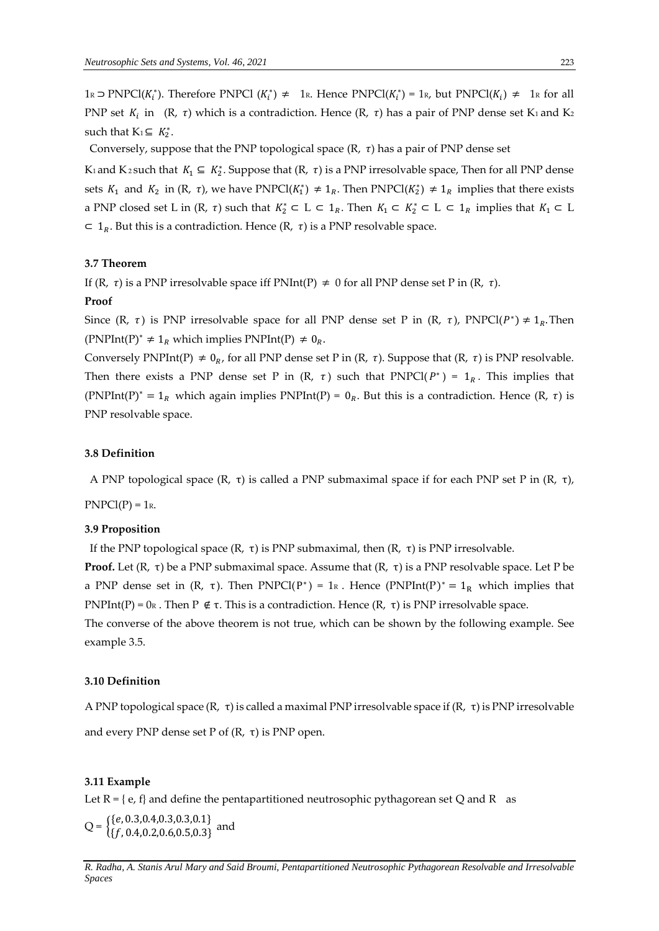1R ⊃ PNPCl( $K_i^*$ ). Therefore PNPCl ( $K_i^*$ ) ≠ 1R. Hence PNPCl( $K_i^*$ ) = 1R, but PNPCl( $K_i$ ) ≠ 1R for all PNP set  $K_i$  in  $(R, \tau)$  which is a contradiction. Hence  $(R, \tau)$  has a pair of PNP dense set K<sub>1</sub> and K<sub>2</sub> such that  $K_1 \subseteq K_2^*$ .

Conversely, suppose that the PNP topological space  $(R, \tau)$  has a pair of PNP dense set

K<sub>1</sub> and K<sub>2</sub> such that  $K_1 \subseteq K_2^*$ . Suppose that  $(R, \tau)$  is a PNP irresolvable space, Then for all PNP dense sets  $K_1$  and  $K_2$  in (R,  $\tau$ ), we have PNPCl( $K_1^*$ )  $\neq 1_R$ . Then PNPCl( $K_2^*$ )  $\neq 1_R$  implies that there exists a PNP closed set L in  $(R, \tau)$  such that  $K_2^* \subset L \subset 1_R$ . Then  $K_1 \subset K_2^* \subset L \subset 1_R$  implies that  $K_1 \subset L$  $\subset 1_R$ . But this is a contradiction. Hence  $(R, \tau)$  is a PNP resolvable space.

# **3.7 Theorem**

If  $(R, \tau)$  is a PNP irresolvable space iff PNInt(P)  $\neq 0$  for all PNP dense set P in  $(R, \tau)$ .

# **Proof**

Since (R,  $\tau$ ) is PNP irresolvable space for all PNP dense set P in (R,  $\tau$ ), PNPCl( $P^*$ )  $\neq 1_R$ . Then (PNPInt(P)<sup>\*</sup>  $\neq$  1<sub>R</sub> which implies PNPInt(P)  $\neq$  0<sub>R</sub>.

Conversely PNPInt(P)  $\neq 0_R$ , for all PNP dense set P in (R,  $\tau$ ). Suppose that (R,  $\tau$ ) is PNP resolvable. Then there exists a PNP dense set P in  $(R, \tau)$  such that PNPCl( $P^*$ ) = 1<sub>R</sub>. This implies that (PNPInt(P)<sup>\*</sup> = 1<sub>R</sub> which again implies PNPInt(P) = 0<sub>R</sub>. But this is a contradiction. Hence (R,  $\tau$ ) is PNP resolvable space.

# **3.8 Definition**

A PNP topological space  $(R, \tau)$  is called a PNP submaximal space if for each PNP set P in  $(R, \tau)$ ,

 $PNPCI(P) = 1<sub>R</sub>$ .

# **3.9 Proposition**

If the PNP topological space (R, τ) is PNP submaximal, then (R, τ) is PNP irresolvable.

**Proof.** Let (R, τ) be a PNP submaximal space. Assume that  $(R, τ)$  is a PNP resolvable space. Let P be a PNP dense set in (R,  $\tau$ ). Then PNPCl(P<sup>\*</sup>) = 1<sub>R</sub>. Hence (PNPInt(P)<sup>\*</sup> = 1<sub>R</sub> which implies that PNPInt(P) = 0R. Then P  $\notin \tau$ . This is a contradiction. Hence  $(R, \tau)$  is PNP irresolvable space.

The converse of the above theorem is not true, which can be shown by the following example. See example 3.5.

#### **3.10 Definition**

A PNP topological space (R, τ) is called a maximal PNP irresolvable space if (R, τ) is PNP irresolvable and every PNP dense set P of  $(R, τ)$  is PNP open.

## **3.11 Example**

Let  $R = \{ e, f \}$  and define the pentapartitioned neutrosophic pythagorean set Q and R as

 $Q = \begin{cases} \{e, 0.3, 0.4, 0.3, 0.3, 0.1\} \\ \{f, 0, 4, 0, 2, 0, 6, 0.5, 0.3\} \end{cases}$  $\{f, 0.4, 0.2, 0.6, 0.5, 0.3\}$  and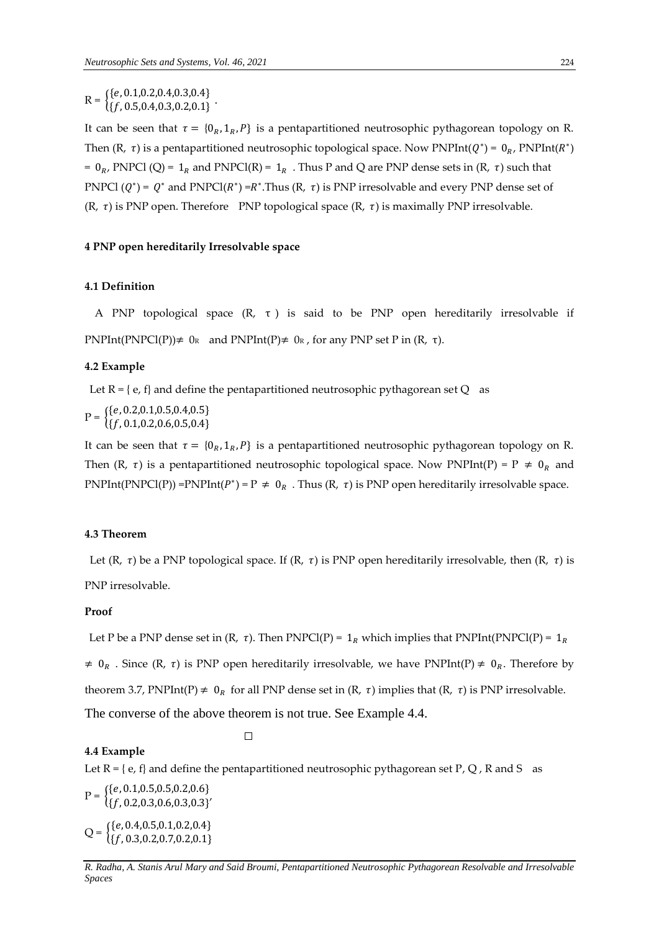$R = \begin{cases} \{e, 0.1, 0.2, 0.4, 0.3, 0.4\} \\ \{f, 0.5, 0.4, 0.3, 0.2, 0.1\} \end{cases}$  $\{f, 0.5, 0.4, 0.3, 0.2, 0.1\}$ .

It can be seen that  $\tau = \{0_R, 1_R, P\}$  is a pentapartitioned neutrosophic pythagorean topology on R. Then (R,  $\tau$ ) is a pentapartitioned neutrosophic topological space. Now PNPInt( $Q^*$ ) = 0<sub>R</sub>, PNPInt( $R^*$ ) =  $0_R$ , PNPCl (Q) =  $1_R$  and PNPCl(R) =  $1_R$ . Thus P and Q are PNP dense sets in (R,  $\tau$ ) such that PNPCl  $(Q^*) = Q^*$  and PNPCl $(R^*) = R^*$ . Thus  $(R, \tau)$  is PNP irresolvable and every PNP dense set of  $(R, \tau)$  is PNP open. Therefore PNP topological space  $(R, \tau)$  is maximally PNP irresolvable.

# **4 PNP open hereditarily Irresolvable space**

# **4.1 Definition**

A PNP topological space (R, τ ) is said to be PNP open hereditarily irresolvable if  $PNPInt(PNPCl(P)) \neq 0$ R and  $PNPInt(P) \neq 0$ R, for any PNP set P in  $(R, \tau)$ .

#### **4.2 Example**

Let  $R = \{ e, f \}$  and define the pentapartitioned neutrosophic pythagorean set Q as

 $P = \begin{cases} \{e, 0.2, 0.1, 0.5, 0.4, 0.5\} \\ \{f, 0.1, 0.2, 0.6, 0.5, 0.4\} \end{cases}$  $\{f, 0.1, 0.2, 0.6, 0.5, 0.4\}$ 

It can be seen that  $\tau = \{0_R, 1_R, P\}$  is a pentapartitioned neutrosophic pythagorean topology on R. Then (R,  $\tau$ ) is a pentapartitioned neutrosophic topological space. Now PNPInt(P) = P  $\neq$  0<sub>R</sub> and PNPInt(PNPCl(P)) =PNPInt( $P^*$ ) = P  $\neq 0_R$ . Thus (R,  $\tau$ ) is PNP open hereditarily irresolvable space.

# **4.3 Theorem**

Let (R,  $\tau$ ) be a PNP topological space. If (R,  $\tau$ ) is PNP open hereditarily irresolvable, then (R,  $\tau$ ) is PNP irresolvable.

## **Proof**

**4.4 Example**

Let P be a PNP dense set in  $(R, \tau)$ . Then PNPCl(P) = 1<sub>R</sub> which implies that PNPInt(PNPCl(P) = 1<sub>R</sub>  $\neq 0_R$ . Since (R,  $\tau$ ) is PNP open hereditarily irresolvable, we have PNPInt(P)  $\neq 0_R$ . Therefore by theorem 3.7, PNPInt(P)  $\neq 0_R$  for all PNP dense set in (R,  $\tau$ ) implies that (R,  $\tau$ ) is PNP irresolvable. The converse of the above theorem is not true. See Example 4.4.

 $\Box$ 

Let  $R = \{ e, f \}$  and define the pentapartitioned neutrosophic pythagorean set P, Q, R and S as

 $P = \begin{cases} \{e, 0.1, 0.5, 0.5, 0.2, 0.6\} \\ \{f, 0.2, 0.3, 0.6, 0.3, 0.3\} \end{cases}$  $\{f, 0.2, 0.3, 0.6, 0.3, 0.3\}'$  $Q = \begin{cases} \{e, 0.4, 0.5, 0.1, 0.2, 0.4\} \\ \{f, 0.3, 0.2, 0.7, 0.2, 0.1\} \end{cases}$  $\{f, 0.3, 0.2, 0.7, 0.2, 0.1\}$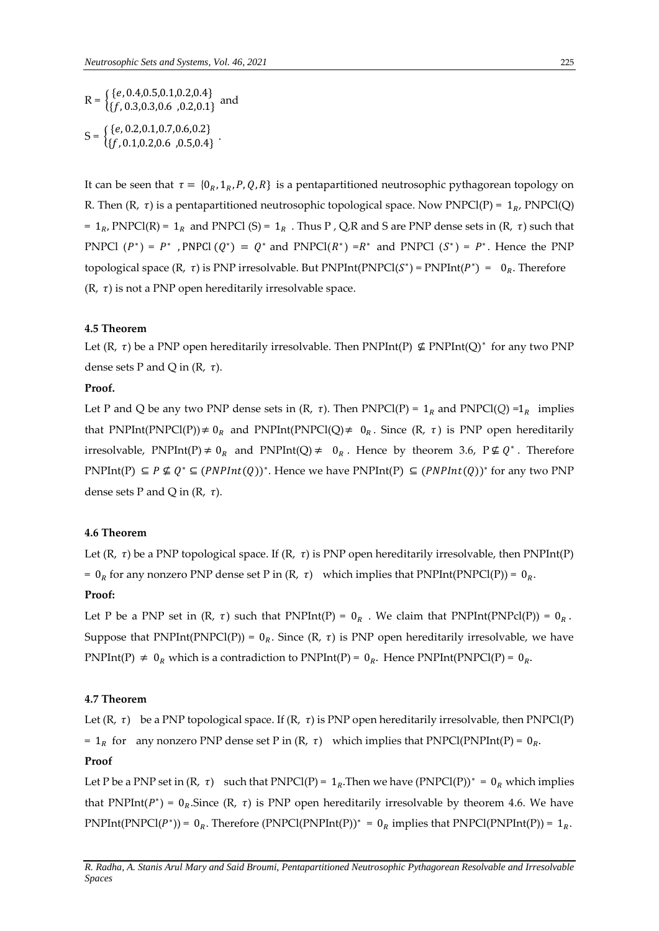$R = \begin{cases} \{e, 0.4, 0.5, 0.1, 0.2, 0.4\} \\ \{f, 0.3, 0.3, 0.6, 0.2, 0.1\} \end{cases}$  $\{f, 0.3, 0.3, 0.6, 0.2, 0.1\}$ and  $S = \begin{cases} \{e, 0.2, 0.1, 0.7, 0.6, 0.2\} \\ \{f, 0.1, 0.2, 0.6, 0.5, 0.4\} \end{cases}$  $\{f, 0.1, 0.2, 0.6, 0.5, 0.4\}$ 

It can be seen that  $\tau = \{0_R, 1_R, P, Q, R\}$  is a pentapartitioned neutrosophic pythagorean topology on R. Then  $(R, \tau)$  is a pentapartitioned neutrosophic topological space. Now PNPCl(P) =  $1_R$ , PNPCl(Q) =  $1_R$ , PNPCl(R) =  $1_R$  and PNPCl (S) =  $1_R$ . Thus P, Q,R and S are PNP dense sets in (R,  $\tau$ ) such that PNPCl  $(P^*) = P^*$ , PNPCl  $(Q^*) = Q^*$  and PNPCl( $R^*$ ) =  $R^*$  and PNPCl  $(S^*) = P^*$ . Hence the PNP topological space  $(R, \tau)$  is PNP irresolvable. But PNPInt(PNPCl( $S^*$ ) = PNPInt( $P^*$ ) = 0<sub>R</sub>. Therefore  $(R, \tau)$  is not a PNP open hereditarily irresolvable space.

# **4.5 Theorem**

Let  $(R, \tau)$  be a PNP open hereditarily irresolvable. Then PNPInt(P)  $\nsubseteq$  PNPInt(Q)<sup>\*</sup> for any two PNP dense sets P and Q in  $(R, \tau)$ .

# **Proof.**

Let P and Q be any two PNP dense sets in  $(R, \tau)$ . Then PNPCl(P) = 1<sub>R</sub> and PNPCl(Q) =1<sub>R</sub> implies that PNPInt(PNPCl(P))  $\neq 0_R$  and PNPInt(PNPCl(Q)  $\neq 0_R$ . Since (R,  $\tau$ ) is PNP open hereditarily irresolvable, PNPInt(P)  $\neq 0_R$  and PNPInt(Q)  $\neq 0_R$ . Hence by theorem 3.6, P $\neq Q^*$ . Therefore PNPInt(P)  $\subseteq P \nsubseteq Q^*$  ⊆ (PNPInt(Q))<sup>\*</sup>. Hence we have PNPInt(P)  $\subseteq$  (PNPInt(Q))<sup>\*</sup> for any two PNP dense sets P and Q in  $(R, \tau)$ .

## **4.6 Theorem**

Let  $(R, \tau)$  be a PNP topological space. If  $(R, \tau)$  is PNP open hereditarily irresolvable, then PNPInt(P) =  $0_R$  for any nonzero PNP dense set P in  $(R, \tau)$  which implies that PNPInt(PNPCl(P)) =  $0_R$ .

# **Proof:**

Let P be a PNP set in  $(R, \tau)$  such that PNPInt(P) =  $0_R$ . We claim that PNPInt(PNPcl(P)) =  $0_R$ . Suppose that  $PNPInt(PNPCI(P)) = 0_R$ . Since  $(R, \tau)$  is PNP open hereditarily irresolvable, we have PNPInt(P)  $\neq 0_R$  which is a contradiction to PNPInt(P) =  $0_R$ . Hence PNPInt(PNPCl(P) =  $0_R$ .

## **4.7 Theorem**

Let  $(R, \tau)$  be a PNP topological space. If  $(R, \tau)$  is PNP open hereditarily irresolvable, then PNPCl(P) =  $1_R$  for any nonzero PNP dense set P in (R,  $\tau$ ) which implies that PNPCl(PNPInt(P) =  $0_R$ .

# **Proof**

Let P be a PNP set in  $(R, \tau)$  such that PNPCl(P) = 1<sub>R</sub>. Then we have  $(PNPCl(P))^* = 0_R$  which implies that PNPInt( $P^*$ ) =  $0_R$ . Since (R,  $\tau$ ) is PNP open hereditarily irresolvable by theorem 4.6. We have PNPInt(PNPCl( $P^*$ )) = 0<sub>R</sub>. Therefore (PNPCl(PNPInt(P))<sup>\*</sup> = 0<sub>R</sub> implies that PNPCl(PNPInt(P)) = 1<sub>R</sub>.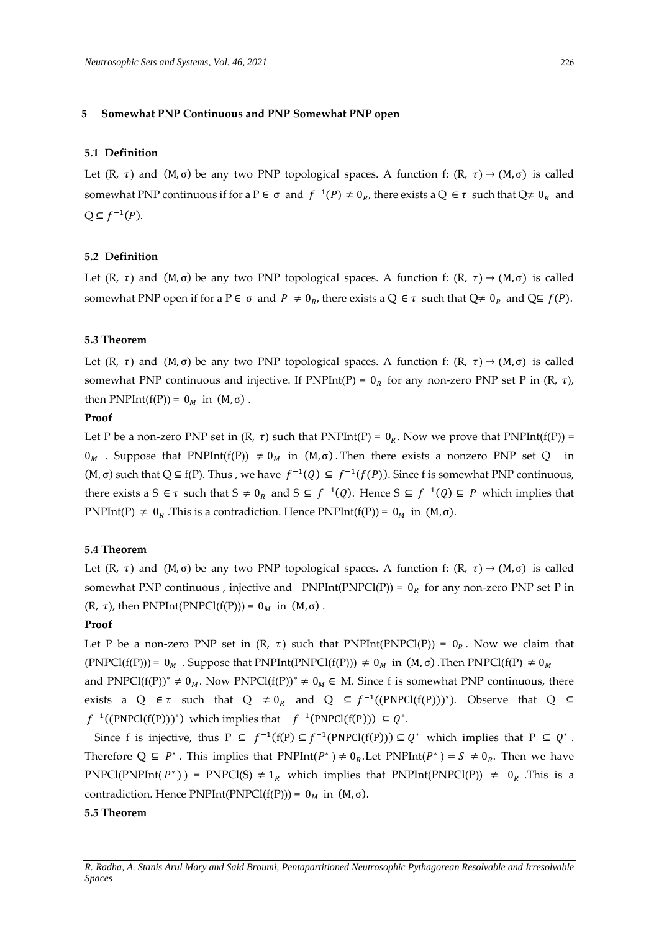#### **5 Somewhat PNP Continuous and PNP Somewhat PNP open**

# **5.1 Definition**

Let  $(R, \tau)$  and  $(M, \sigma)$  be any two PNP topological spaces. A function f:  $(R, \tau) \rightarrow (M, \sigma)$  is called somewhat PNP continuous if for a P  $\in \sigma$  and  $f^{-1}(P) \neq 0_R$ , there exists a Q  $\in \tau$  such that Q $\neq 0_R$  and  $Q \subseteq f^{-1}(P)$ .

## **5.2 Definition**

Let  $(R, \tau)$  and  $(M, \sigma)$  be any two PNP topological spaces. A function f:  $(R, \tau) \rightarrow (M, \sigma)$  is called somewhat PNP open if for a P  $\in \sigma$  and  $P \neq 0_R$ , there exists a Q  $\in \tau$  such that  $Q \neq 0_R$  and  $Q \subseteq f(P)$ .

## **5.3 Theorem**

Let  $(R, \tau)$  and  $(M, \sigma)$  be any two PNP topological spaces. A function f:  $(R, \tau) \rightarrow (M, \sigma)$  is called somewhat PNP continuous and injective. If PNPInt(P) =  $0_R$  for any non-zero PNP set P in (R,  $\tau$ ), then PNPInt(f(P)) =  $0_M$  in (M,  $\sigma$ ).

#### **Proof**

Let P be a non-zero PNP set in  $(R, \tau)$  such that PNPInt(P) =  $0_R$ . Now we prove that PNPInt(f(P)) =  $0_M$ . Suppose that PNPInt(f(P))  $\neq 0_M$  in (M,σ). Then there exists a nonzero PNP set Q in  $(M, \sigma)$  such that  $Q \subseteq f(P)$ . Thus, we have  $f^{-1}(Q) \subseteq f^{-1}(f(P))$ . Since f is somewhat PNP continuous, there exists a S  $\in \tau$  such that  $S \neq 0_R$  and  $S \subseteq f^{-1}(Q)$ . Hence  $S \subseteq f^{-1}(Q) \subseteq P$  which implies that PNPInt(P)  $\neq$  0<sub>R</sub>. This is a contradiction. Hence PNPInt(f(P)) = 0<sub>M</sub> in (M, σ).

# **5.4 Theorem**

Let  $(R, \tau)$  and  $(M, \sigma)$  be any two PNP topological spaces. A function f:  $(R, \tau) \rightarrow (M, \sigma)$  is called somewhat PNP continuous, injective and PNPInt(PNPCl(P)) =  $0_R$  for any non-zero PNP set P in (R,  $\tau$ ), then PNPInt(PNPCl(f(P))) =  $0_M$  in (M, $\sigma$ ).

## **Proof**

Let P be a non-zero PNP set in (R,  $\tau$ ) such that PNPInt(PNPCl(P)) = 0<sub>R</sub>. Now we claim that  $(PNPCl(f(P))) = 0_M$ . Suppose that PNPInt(PNPCl(f(P)))  $\neq 0_M$  in  $(M, \sigma)$ . Then PNPCl(f(P)  $\neq 0_M$ and PNPCl( $f(P)$ )<sup>\*</sup>  $\neq 0_M$ . Now PNPCl( $f(P)$ )<sup>\*</sup>  $\neq 0_M \in M$ . Since f is somewhat PNP continuous, there exists a Q  $\in \tau$  such that Q  $\neq 0_R$  and Q  $\subseteq f^{-1}((PNPCI(f(P)))^*)$ . Observe that Q  $\subseteq$  $f^{-1}((PNPCl(f(P)))^*)$  which implies that  $f^{-1}(PNPCl(f(P))) \subseteq Q^*$ .

Since f is injective, thus  $P \subseteq f^{-1}(f(P) \subseteq f^{-1}(PNPCl(f(P))) \subseteq Q^*$  which implies that  $P \subseteq Q^*$ . Therefore  $Q \subseteq P^*$ . This implies that  $PNPInt(P^*) \neq 0_R$ . Let  $PNPInt(P^*) = S \neq 0_R$ . Then we have PNPCl(PNPInt( $P^*$ )) = PNPCl(S)  $\neq 1_R$  which implies that PNPInt(PNPCl(P))  $\neq 0_R$ . This is a contradiction. Hence PNPInt(PNPCl(f(P))) =  $0_M$  in (M,  $\sigma$ ).

## **5.5 Theorem**

*R. Radha, A. Stanis Arul Mary and Said Broumi, Pentapartitioned Neutrosophic Pythagorean Resolvable and Irresolvable Spaces*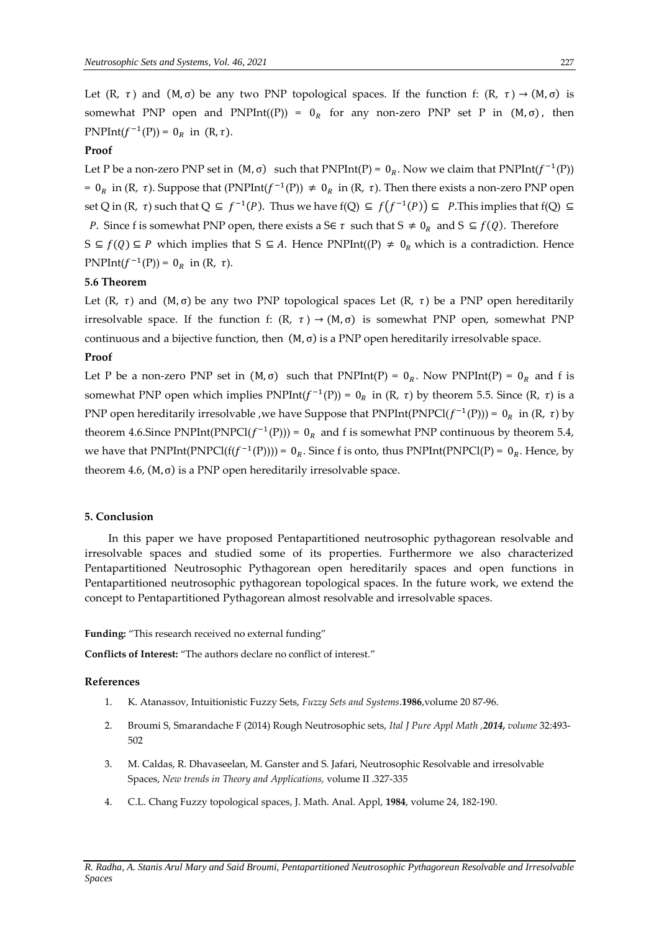Let  $(R, \tau)$  and  $(M, \sigma)$  be any two PNP topological spaces. If the function f:  $(R, \tau) \rightarrow (M, \sigma)$  is somewhat PNP open and PNPInt((P)) =  $0<sub>R</sub>$  for any non-zero PNP set P in (M,σ), then PNPInt( $f^{-1}(P)$ ) = 0<sub>R</sub> in (R,  $\tau$ ).

# **Proof**

Let P be a non-zero PNP set in  $(M, \sigma)$  such that PNPInt(P) =  $0_R$ . Now we claim that PNPInt( $f^{-1}(P)$ ) = 0<sub>R</sub> in (R, τ). Suppose that (PNPInt( $f^{-1}(P)$ ) ≠ 0<sub>R</sub> in (R, τ). Then there exists a non-zero PNP open set Q in (R, τ) such that Q ⊆  $f^{-1}(P)$ . Thus we have  $f(Q) \subseteq f(f^{-1}(P)) \subseteq P$ . This implies that  $f(Q) \subseteq$ P. Since f is somewhat PNP open, there exists a S $\in \tau$  such that  $S \neq 0_R$  and  $S \subseteq f(Q)$ . Therefore S ⊆  $f(Q)$  ⊆ P which implies that S ⊆ A. Hence PNPInt((P)  $\neq$  0<sub>R</sub> which is a contradiction. Hence PNPInt( $f^{-1}(P)$ ) = 0<sub>R</sub> in (R,  $\tau$ ).

## **5.6 Theorem**

Let  $(R, \tau)$  and  $(M, \sigma)$  be any two PNP topological spaces Let  $(R, \tau)$  be a PNP open hereditarily irresolvable space. If the function f:  $(R, \tau) \rightarrow (M, \sigma)$  is somewhat PNP open, somewhat PNP continuous and a bijective function, then  $(M, \sigma)$  is a PNP open hereditarily irresolvable space.

# **Proof**

Let P be a non-zero PNP set in  $(M, \sigma)$  such that PNPInt(P) = 0<sub>R</sub>. Now PNPInt(P) = 0<sub>R</sub> and f is somewhat PNP open which implies  $PNPInt(f^{-1}(P)) = 0_R$  in (R,  $\tau$ ) by theorem 5.5. Since (R,  $\tau$ ) is a PNP open hereditarily irresolvable , we have Suppose that PNPInt(PNPCl( $f^{-1}(P)$ )) =  $0_R$  in (R,  $\tau$ ) by theorem 4.6.Since PNPInt(PNPCl( $f^{-1}(P)$ )) = 0<sub>R</sub> and f is somewhat PNP continuous by theorem 5.4, we have that PNPInt(PNPCl( $f(f^{-1}(P))$ )) = 0<sub>R</sub>. Since f is onto, thus PNPInt(PNPCl(P) = 0<sub>R</sub>. Hence, by theorem 4.6,  $(M, \sigma)$  is a PNP open hereditarily irresolvable space.

## **5. Conclusion**

In this paper we have proposed Pentapartitioned neutrosophic pythagorean resolvable and irresolvable spaces and studied some of its properties. Furthermore we also characterized Pentapartitioned Neutrosophic Pythagorean open hereditarily spaces and open functions in Pentapartitioned neutrosophic pythagorean topological spaces. In the future work, we extend the concept to Pentapartitioned Pythagorean almost resolvable and irresolvable spaces.

## **Funding:** "This research received no external funding"

**Conflicts of Interest:** "The authors declare no conflict of interest."

## **References**

- 1. K. Atanassov, Intuitionistic Fuzzy Sets, *Fuzzy Sets and Systems*.**1986**,volume 20 87-96.
- 2. Broumi S, Smarandache F (2014) Rough Neutrosophic sets, *Ital J Pure Appl Math ,2014, volume* 32:493- 502
- 3. M. Caldas, R. Dhavaseelan, M. Ganster and S. Jafari, Neutrosophic Resolvable and irresolvable Spaces, *New trends in Theory and Applications,* volume II .327-335
- 4. C.L. Chang Fuzzy topological spaces, J. Math. Anal. Appl, **1984**, volume 24, 182-190.